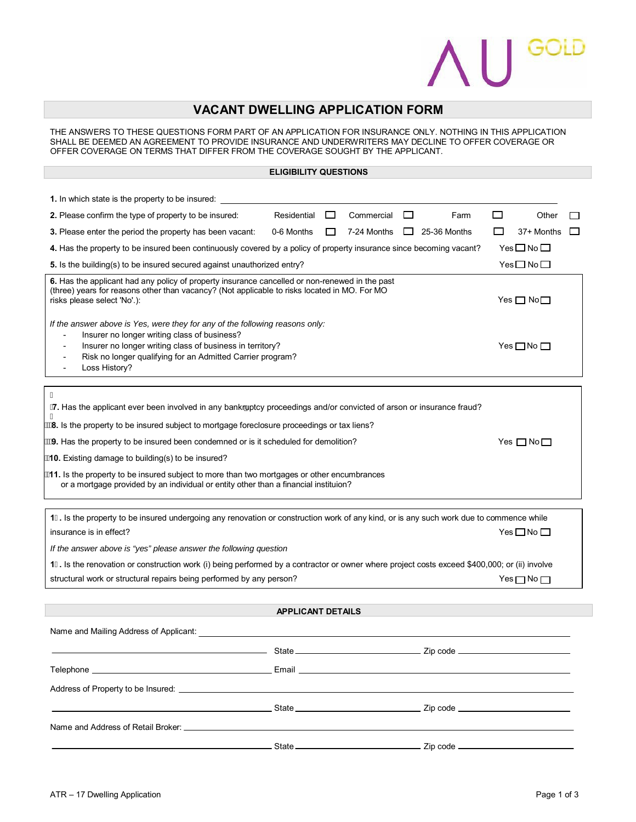## $\begin{bmatrix} \end{bmatrix}$  GOLD

## **VACANT DWELLING APPLICATION FORM**

THE ANSWERS TO THESE QUESTIONS FORM PART OF AN APPLICATION FOR INSURANCE ONLY. NOTHING IN THIS APPLICATION SHALL BE DEEMED AN AGREEMENT TO PROVIDE INSURANCE AND UNDERWRITERS MAY DECLINE TO OFFER COVERAGE OR OFFER COVERAGE ON TERMS THAT DIFFER FROM THE COVERAGE SOUGHT BY THE APPLICANT.

## **ELIGIBILITY QUESTIONS**

| 1. In which state is the property to be insured:                                                                                                                                                                                                                         |                 |          |            |   |                                                            |                            |                    |              |
|--------------------------------------------------------------------------------------------------------------------------------------------------------------------------------------------------------------------------------------------------------------------------|-----------------|----------|------------|---|------------------------------------------------------------|----------------------------|--------------------|--------------|
| <b>2.</b> Please confirm the type of property to be insured:                                                                                                                                                                                                             | Residential     | $\sqcup$ | Commercial | ப | Farm                                                       | $\Box$                     | Other              |              |
| <b>3.</b> Please enter the period the property has been vacant:                                                                                                                                                                                                          | 0-6 Months      | $\Box$   |            |   | 7-24 Months $\Box$ 25-36 Months                            | $\mathbf{I}$               | 37+ Months         | $\mathbf{I}$ |
| 4. Has the property to be insured been continuously covered by a policy of property insurance since becoming vacant?<br>$Yes \Box No \Box$                                                                                                                               |                 |          |            |   |                                                            |                            |                    |              |
| Yes□No□<br>5. Is the building(s) to be insured secured against unauthorized entry?                                                                                                                                                                                       |                 |          |            |   |                                                            |                            |                    |              |
| 6. Has the applicant had any policy of property insurance cancelled or non-renewed in the past<br>(three) years for reasons other than vacancy? (Not applicable to risks located in MO. For MO<br>risks please select 'No'.):                                            |                 |          |            |   |                                                            | Yes $\square$ No $\square$ |                    |              |
| If the answer above is Yes, were they for any of the following reasons only:<br>Insurer no longer writing class of business?<br>Insurer no longer writing class of business in territory?<br>Risk no longer qualifying for an Admitted Carrier program?<br>Loss History? |                 |          |            |   |                                                            | Yes $\square$ No $\square$ |                    |              |
|                                                                                                                                                                                                                                                                          |                 |          |            |   |                                                            |                            |                    |              |
| 7. Has the applicant ever been involved in any bankruptcy proceedings and/or convicted of arson or insurance fraud?                                                                                                                                                      |                 |          |            |   |                                                            |                            |                    |              |
| "8. Is the property to be insured subject to mortgage foreclosure proceedings or tax liens?                                                                                                                                                                              |                 |          |            |   |                                                            |                            |                    |              |
| "9. Has the property to be insured been condemned or is it scheduled for demolition?                                                                                                                                                                                     |                 |          |            |   |                                                            | Yes $\Box$ No $\Box$       |                    |              |
| '10. Existing damage to building(s) to be insured?                                                                                                                                                                                                                       |                 |          |            |   |                                                            |                            |                    |              |
| 11. Is the property to be insured subject to more than two mortgages or other encumbrances<br>or a mortgage provided by an individual or entity other than a financial instituion?                                                                                       |                 |          |            |   |                                                            |                            |                    |              |
| 1& Is the property to be insured undergoing any renovation or construction work of any kind, or is any such work due to commence while                                                                                                                                   |                 |          |            |   |                                                            |                            |                    |              |
| insurance is in effect?                                                                                                                                                                                                                                                  |                 |          |            |   | $Yes \Box No \Box$                                         |                            |                    |              |
| If the answer above is "yes" please answer the following question                                                                                                                                                                                                        |                 |          |            |   |                                                            |                            |                    |              |
| 1'. Is the renovation or construction work (i) being performed by a contractor or owner where project costs exceed \$400,000; or (ii) involve                                                                                                                            |                 |          |            |   |                                                            |                            |                    |              |
| structural work or structural repairs being performed by any person?                                                                                                                                                                                                     |                 |          |            |   |                                                            |                            | $Yes \Box No \Box$ |              |
|                                                                                                                                                                                                                                                                          |                 |          |            |   |                                                            |                            |                    |              |
| <b>APPLICANT DETAILS</b>                                                                                                                                                                                                                                                 |                 |          |            |   |                                                            |                            |                    |              |
| Name and Mailing Address of Applicant:                                                                                                                                                                                                                                   |                 |          |            |   |                                                            |                            |                    |              |
|                                                                                                                                                                                                                                                                          |                 |          |            |   |                                                            |                            |                    |              |
|                                                                                                                                                                                                                                                                          |                 |          |            |   |                                                            |                            |                    |              |
|                                                                                                                                                                                                                                                                          |                 |          |            |   |                                                            |                            |                    |              |
|                                                                                                                                                                                                                                                                          |                 |          |            |   |                                                            |                            |                    |              |
|                                                                                                                                                                                                                                                                          |                 |          |            |   |                                                            |                            |                    |              |
|                                                                                                                                                                                                                                                                          |                 |          |            |   |                                                            |                            |                    |              |
|                                                                                                                                                                                                                                                                          | State <u>__</u> |          |            |   | $\overline{\phantom{a}}$ Zip code $\overline{\phantom{a}}$ |                            |                    |              |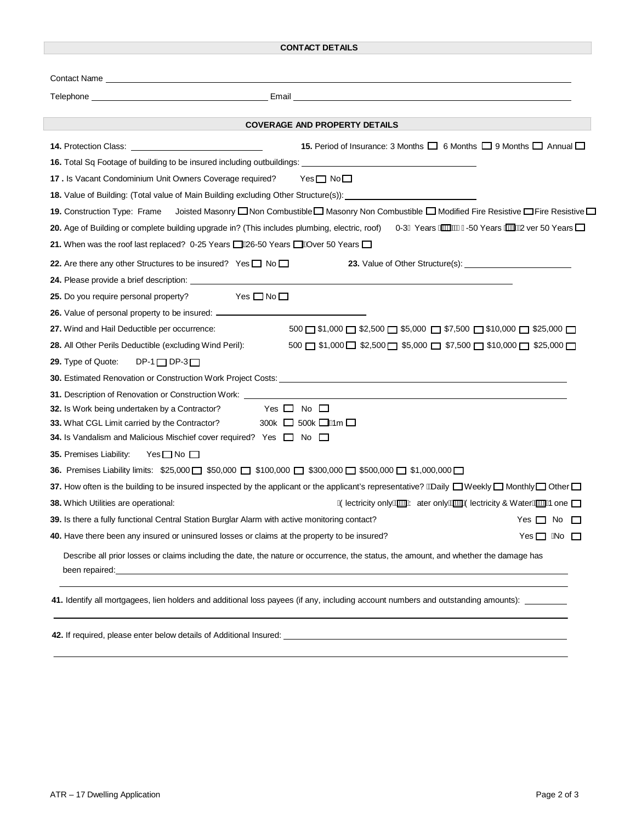| <b>CONTACT DETAILS</b>                                                                                                                                                                                                                                                                                                                                                       |  |  |  |  |  |
|------------------------------------------------------------------------------------------------------------------------------------------------------------------------------------------------------------------------------------------------------------------------------------------------------------------------------------------------------------------------------|--|--|--|--|--|
| Contact Name <b>Contact Service Contact Service Contact Name</b>                                                                                                                                                                                                                                                                                                             |  |  |  |  |  |
| Telephone <b>Andrea Communication Communication</b> Email <b>Example 2014 Communication Communication</b> Communication Communication Communication Communication Communication Communication Communication Communication Communicatio                                                                                                                                       |  |  |  |  |  |
| <b>COVERAGE AND PROPERTY DETAILS</b>                                                                                                                                                                                                                                                                                                                                         |  |  |  |  |  |
| 14. Protection Class: __________________________________<br><b>15.</b> Period of Insurance: 3 Months $\Box$ 6 Months $\Box$ 9 Months $\Box$ Annual $\Box$                                                                                                                                                                                                                    |  |  |  |  |  |
|                                                                                                                                                                                                                                                                                                                                                                              |  |  |  |  |  |
| $Yes \Box No \Box$<br>17. Is Vacant Condominium Unit Owners Coverage required?                                                                                                                                                                                                                                                                                               |  |  |  |  |  |
| 18. Value of Building: (Total value of Main Building excluding Other Structure(s)): __________________________                                                                                                                                                                                                                                                               |  |  |  |  |  |
| 19. Construction Type: Frame Joisted Masonry □ Non Combustible□ Masonry Non Combustible □ Modified Fire Resistive □ Fire Resistive □                                                                                                                                                                                                                                         |  |  |  |  |  |
| 20. Age of Building or complete building upgrade in? (This includes plumbing, electric, roof) 0-3ĺ Years Minitaris 150 Years Minitary or 50 Years Inc                                                                                                                                                                                                                        |  |  |  |  |  |
| 21. When was the roof last replaced? 0-25 Years ■ 26-50 Years ■ 20 Years ■                                                                                                                                                                                                                                                                                                   |  |  |  |  |  |
| 22. Are there any other Structures to be insured? Yes $\Box$ No $\Box$                                                                                                                                                                                                                                                                                                       |  |  |  |  |  |
|                                                                                                                                                                                                                                                                                                                                                                              |  |  |  |  |  |
| 25. Do you require personal property? Yes □ No □                                                                                                                                                                                                                                                                                                                             |  |  |  |  |  |
| 26. Value of personal property to be insured: __________________________________                                                                                                                                                                                                                                                                                             |  |  |  |  |  |
| 27. Wind and Hail Deductible per occurrence:<br>$500 \square$ \$1,000 $\square$ \$2,500 $\square$ \$5,000 $\square$ \$7,500 $\square$ \$10,000 $\square$ \$25,000 $\square$                                                                                                                                                                                                  |  |  |  |  |  |
| 28. All Other Perils Deductible (excluding Wind Peril):<br>$500$ $\Box$ \$1,000 $\Box$ \$2,500 $\Box$ \$5,000 $\Box$ \$7,500 $\Box$ \$10,000 $\Box$ \$25,000 $\Box$                                                                                                                                                                                                          |  |  |  |  |  |
| $DP-1$ $DP-3$ $\Box$<br>29. Type of Quote:                                                                                                                                                                                                                                                                                                                                   |  |  |  |  |  |
|                                                                                                                                                                                                                                                                                                                                                                              |  |  |  |  |  |
| 31. Description of Renovation or Construction Work: _____<br><u> 1989 - Johann Stoff, deutscher Stoff, der Stoff, deutscher Stoff, der Stoff, der Stoff, der Stoff, der Stoff</u>                                                                                                                                                                                            |  |  |  |  |  |
| Yes $\Box$ No $\Box$<br>32. Is Work being undertaken by a Contractor?                                                                                                                                                                                                                                                                                                        |  |  |  |  |  |
| 300k $\Box$ 500k $\Box$ Wim $\Box$<br>33. What CGL Limit carried by the Contractor?                                                                                                                                                                                                                                                                                          |  |  |  |  |  |
| <b>34.</b> Is Vandalism and Malicious Mischief cover required? Yes $\Box$ No $\Box$                                                                                                                                                                                                                                                                                          |  |  |  |  |  |
| 35. Premises Liability:<br>$Yes \Box No \Box$                                                                                                                                                                                                                                                                                                                                |  |  |  |  |  |
| 36. Premises Liability limits: \$25,000 □ \$50,000 □ \$100,000 □ \$300,000 □ \$500,000 □ \$1,000,000 □                                                                                                                                                                                                                                                                       |  |  |  |  |  |
| 37. How often is the building to be insured inspected by the applicant or the applicant's representative? $\#$ Daily $\Box$ Weekly $\Box$ Monthly $\Box$ Other $\Box$                                                                                                                                                                                                        |  |  |  |  |  |
| A Diectricity only ACCOM ater only ACCOM Diectricity & Water<br><b>38.</b> Which Utilities are operational:                                                                                                                                                                                                                                                                  |  |  |  |  |  |
| 39. Is there a fully functional Central Station Burglar Alarm with active monitoring contact?<br>Yes $\Box$ No $\Box$                                                                                                                                                                                                                                                        |  |  |  |  |  |
| 40. Have there been any insured or uninsured losses or claims at the property to be insured?<br>Yes $\Box$ ANo $\Box$                                                                                                                                                                                                                                                        |  |  |  |  |  |
| Describe all prior losses or claims including the date, the nature or occurrence, the status, the amount, and whether the damage has<br>been repaired: <u>example and a series of the series of the series of the series of the series of the series of the series of the series of the series of the series of the series of the series of the series of the series of </u> |  |  |  |  |  |
| 41. Identify all mortgagees, lien holders and additional loss payees (if any, including account numbers and outstanding amounts): _______                                                                                                                                                                                                                                    |  |  |  |  |  |
| 42. If required, please enter below details of Additional Insured: <u>entitled by the contract of the set of the contract of the contract of the contract of the contract of the contract of the contract of the contract of the</u>                                                                                                                                         |  |  |  |  |  |